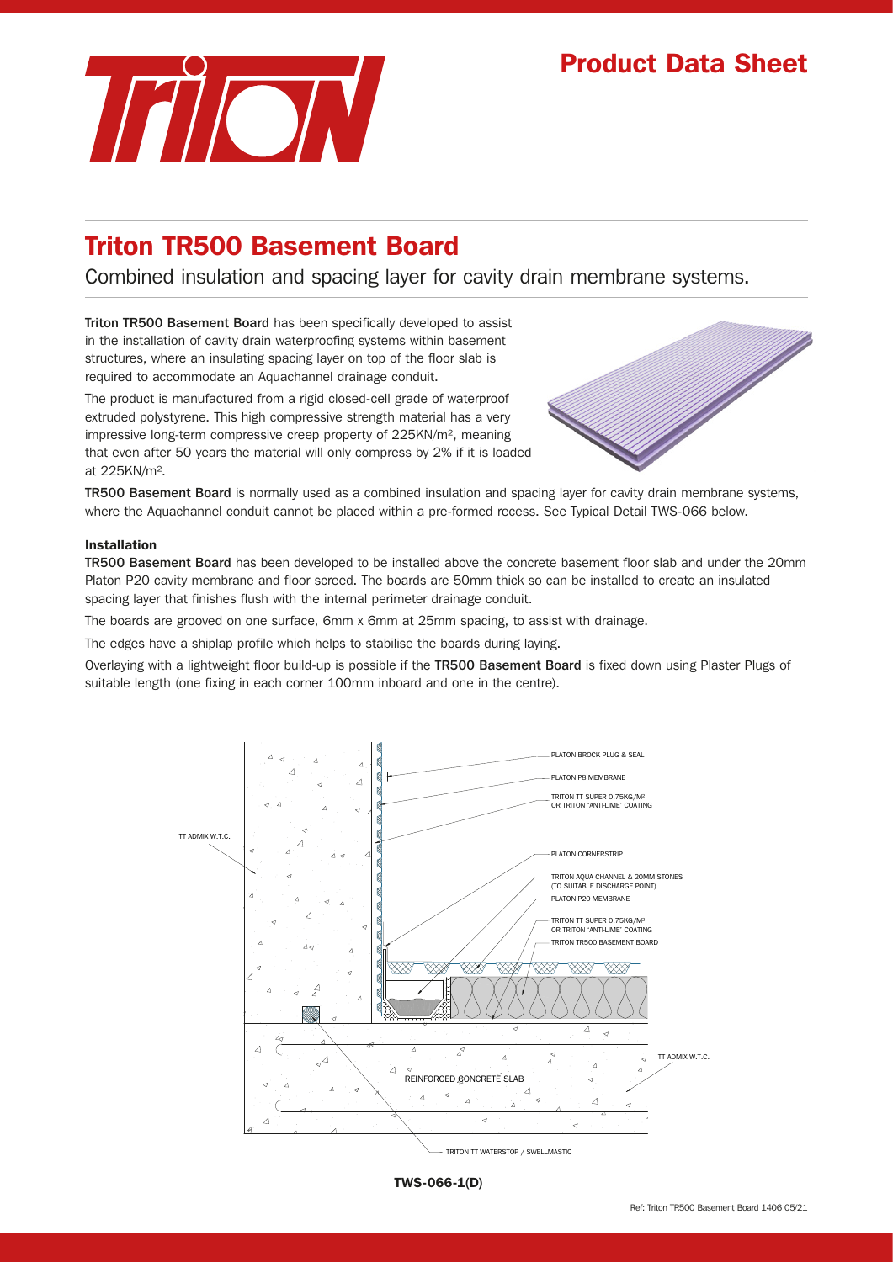# Product Data Sheet



# Triton TR500 Basement Board

Combined insulation and spacing layer for cavity drain membrane systems.

Triton TR500 Basement Board has been specifically developed to assist in the installation of cavity drain waterproofing systems within basement structures, where an insulating spacing layer on top of the floor slab is required to accommodate an Aquachannel drainage conduit.

The product is manufactured from a rigid closed-cell grade of waterproof extruded polystyrene. This high compressive strength material has a very impressive long-term compressive creep property of 225KN/m², meaning that even after 50 years the material will only compress by 2% if it is loaded at 225KN/m².



TR500 Basement Board is normally used as a combined insulation and spacing layer for cavity drain membrane systems, where the Aquachannel conduit cannot be placed within a pre-formed recess. See Typical Detail TWS-066 below.

### Installation

TR500 Basement Board has been developed to be installed above the concrete basement floor slab and under the 20mm Platon P20 cavity membrane and floor screed. The boards are 50mm thick so can be installed to create an insulated spacing layer that finishes flush with the internal perimeter drainage conduit.

The boards are grooved on one surface, 6mm x 6mm at 25mm spacing, to assist with drainage.

The edges have a shiplap profile which helps to stabilise the boards during laying.

Overlaying with a lightweight floor build-up is possible if the TR500 Basement Board is fixed down using Plaster Plugs of suitable length (one fixing in each corner 100mm inboard and one in the centre).



TWS-066-1(D)